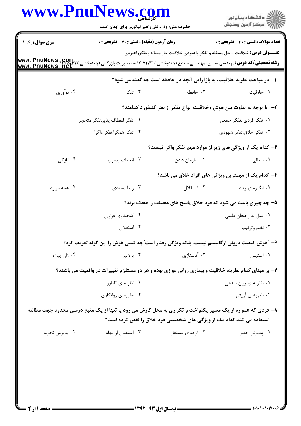| www.PnuNews.com | حضرت علی(ع): دانش راهبر نیکویی برای ایمان است                                                                                                  |                                                                                    | ر دانشڪاه پيام نور<br>اڳ مرڪز آزمون وسنڊش    |
|-----------------|------------------------------------------------------------------------------------------------------------------------------------------------|------------------------------------------------------------------------------------|----------------------------------------------|
| سری سوال: یک ۱  | زمان آزمون (دقیقه) : تستی : 60 ٪ تشریحی : 0                                                                                                    |                                                                                    | <b>تعداد سوالات : تستی : 30 ٪ تشریحی : 0</b> |
|                 | <b>رشته تحصیلی/کد درس:</b> مهندسی صنایع، مهندسی صنایع (چندبخشی ) ۱۲۱۷۱۷۳ - ، مدیریت بازرگانی (چندبخشی ) www . PnuNews<br>  www . PnuNews . net | <b>عنـــوان درس:</b> خلاقیت - حل مسئله و تفکر راهبردی،خلاقیت حل مساله وتفکرراهبردی |                                              |
|                 |                                                                                                                                                | ا- در مباحث نظریه خلاقیت، به بازآرایی آنچه در حافظه است چه گفته می شود؟            |                                              |
| ۰۴ نوآوري       | ۰۳ تفکر                                                                                                                                        | ۰۲ حافظه                                                                           | ١. خلاقيت                                    |
|                 |                                                                                                                                                | ۲– با توجه به تفاوت بین هوش وخلاقیت انواع تفکر از نظر گلیفورد کدامند؟              |                                              |
|                 | ٠٢ تفكر انعطاف پذير.تفكر متحجر                                                                                                                 |                                                                                    | ۰۱ تفکر فردی .تفکر جمعی                      |
|                 | ۴. تفكر همگرا.تفكر واگرا                                                                                                                       |                                                                                    | ۰۳ تفکر خلاق.تفکر شهودی                      |
|                 |                                                                                                                                                | ۳- کدام یک از ویژگی های زیر از موارد مهم تفکر واگرا <u>نیست؟</u>                   |                                              |
| ۰۴ تازگی        | ۰۳ انعطاف پذیری                                                                                                                                | ۰۲ سازمان دادن                                                                     | ۰۱ سیالی                                     |
|                 |                                                                                                                                                | ۴- کدام یک از مهمترین ویژگی های افراد خلاق می باشد؟                                |                                              |
| ۰۴ همه موارد    | ۰۳ زیبا پسندی                                                                                                                                  | ۰۲ استقلال                                                                         | ۰۱ انگیزه ی زیاد                             |
|                 |                                                                                                                                                | ۵- چه چیزی باعث می شود که فرد خلاق پاسخ های مختلف را محک بزند؟                     |                                              |
|                 | ۰۲ کنجکاوی فراوان                                                                                                                              |                                                                                    | ۰۱ میل به رجحان طلبی                         |
|                 | ۰۴ استقلال                                                                                                                                     |                                                                                    | ۰۳ نظم وترتيب                                |
|                 | ۶- ″هوش کیفیت درونی ارگانیسم نیست، بلکه ویژگی رفتار است″چه کسی هوش را این گونه تعریف کرد؟                                                      |                                                                                    |                                              |
| ۰۴ ژان پیاژه    | ۰۳ برلانیر                                                                                                                                     | ۰۲ آناستازی                                                                        | ۰۱ استیس                                     |
|                 | ۷- بر مبنای کدام نظریه، خلاقیت و بیماری روانی موازی بوده و هر دو مستلزم تغییرات در واقعیت می باشند؟                                            |                                                                                    |                                              |
|                 | ۰۲ نظریه ی تایلور                                                                                                                              |                                                                                    | ۰۱ نظریه ی روان سنجی                         |
|                 | ۰۴ نظریه ی روانکاوی                                                                                                                            |                                                                                    | ۰۳ نظریه ی آریتی                             |
|                 | ۸– فردی که همواره از یک مسیر یکنواخت و تکراری به محل کارش می رود یا تنها از یک منبع درسی محدود جهت مطالعه                                      | استفاده می کند،کدام یک از ویژگی های شخصیتی فرد خلاق را نقص کرده است؟               |                                              |
| ۰۴ پذيرش تجربه  | ۰۳ استقبال از ابهام                                                                                                                            | ۰۲ اراده ی مستقل                                                                   | ۰۱ پذیرش خطر                                 |

 $= 1.1 - (1.1.1V)$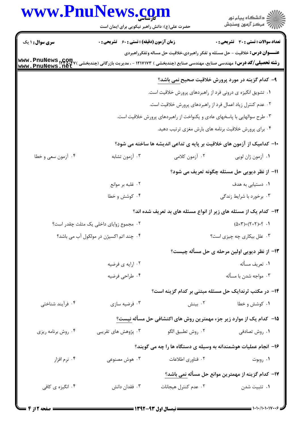| www.PnuNews.com        |                                                                       |                                                                                                                                                    | ر<br>دانشڪاه پيام نور)<br>اڳ مرڪز آزمون وسنڊش      |
|------------------------|-----------------------------------------------------------------------|----------------------------------------------------------------------------------------------------------------------------------------------------|----------------------------------------------------|
|                        | حضرت علی(ع): دانش راهبر نیکویی برای ایمان است                         |                                                                                                                                                    |                                                    |
| <b>سری سوال : ۱ یک</b> | <b>زمان آزمون (دقیقه) : تستی : 60 ٪ تشریحی : 0</b>                    |                                                                                                                                                    | <b>تعداد سوالات : تستی : 30 ٪ تشریحی : 0</b>       |
|                        |                                                                       | <b>عنـــوان درس:</b> خلاقیت - حل مسئله و تفکر راهبردی،خلاقیت حل مساله وتفکرراهبردی                                                                 |                                                    |
|                        |                                                                       | <b>رشته تحصیلی/کد درس:</b> مهندسی صنایع، مهندسی صنایع (چندبخشی ) ۱۲۱۷۱۷۳ - ، مدیریت بازرگانی (چندبخشی ) www . PnuNews ,net<br> www . PnuNews . net |                                                    |
|                        |                                                                       | ۹– کدام گزینه در مورد پرورش خلاقیت صحیح <u>نمی</u> باشد؟                                                                                           |                                                    |
|                        |                                                                       | ۰۱ تشویق انگیزه ی درونی فرد از راهبردهای پرورش خلاقیت است.                                                                                         |                                                    |
|                        |                                                                       | ۰۲ عدم کنترل زیاد اعمال فرد از راهبردهای پرورش خلاقیت است.                                                                                         |                                                    |
|                        |                                                                       | ۰۳ طرح سوالهایی با پاسخهای عادی و یکنواخت از راهبردهای پرورش خلاقیت است.                                                                           |                                                    |
|                        |                                                                       | ۰۴ برای پرورش خلاقیت برنامه های بارش مغزی ترتیب دهید.                                                                                              |                                                    |
|                        |                                                                       | ∙ا− کدامیک از آزمون های خلاقیت بر پایه ی تداعی اندیشه ها ساخته می شود؟                                                                             |                                                    |
| ۰۴ أزمون سعي و خطا     | ۰۳ آزمون تشابه                                                        | ۰۲ آزمون کلامی                                                                                                                                     | ٠١ آزمون ژان لويي                                  |
|                        |                                                                       |                                                                                                                                                    | 11- از نظر دیویی حل مسئله چگونه تعریف می شود؟      |
|                        | ۰۲ غلبه بر موانع                                                      |                                                                                                                                                    | <b>۱.</b> دستیابی به هدف                           |
|                        | ۰۴ کوشش و خطا                                                         |                                                                                                                                                    | ۰۳ برخورد با شرایط زندگی                           |
|                        |                                                                       | ۱۲- کدام یک از مسئله های زیر از انواع مسئله های بد تعریف شده اند؟                                                                                  |                                                    |
|                        | ٠٢ مجموع زواياى داخلى يک مثلث چقدر است؟                               |                                                                                                                                                    | $(0 \times T) + (7 + 7) = ?$ .                     |
|                        | ۰۴ چند اتم اکسیژن در مولکول آب می باشد؟<br>۰۳ علل بیکاری چه چیزی است؟ |                                                                                                                                                    |                                                    |
|                        |                                                                       |                                                                                                                                                    | ۱۳- از نظر دیویی اولین مرحله ی حل مسأله چیست؟      |
|                        | ۰۲ ارايه ي فرضيه                                                      |                                                                                                                                                    | ٠١ تعريف مسأله                                     |
|                        | ۰۴ طراحي فرضيه                                                        |                                                                                                                                                    | ۰۳ مواجه شدن با مسأله                              |
|                        |                                                                       | ۱۴– در مکتب ثرندایک حل مسئله مبتنی بر کدام گزینه است؟                                                                                              |                                                    |
| ۰۴ فرآیند شناختی       | ۰۳ فرضيه سازي                                                         | ۰۲ بینش                                                                                                                                            | ۰۱ کوشش و خطا                                      |
|                        |                                                                       | <b>۱۵</b> - کدام یک از موارد زیر جزء مهمترین روش های اکتشافی حل مسأله نیست؟                                                                        |                                                    |
| ۰۴ روش برنامه ریزی     | ۰۳ پژوهش های تقریبی                                                   | ٠٢ روش تطبيق الگو                                                                                                                                  | ۰۱ روش تصادفی                                      |
|                        |                                                                       |                                                                                                                                                    |                                                    |
| ۰۴ نرم افزار           |                                                                       | ۱۶– انجام عملیات هوشمندانه به وسیله ی دستگاه ها را چه می گویند؟<br>٢. فناوري اطلاعات                                                               |                                                    |
|                        | ۰۳ هوش مصنوعی                                                         |                                                                                                                                                    | ۰۱ روبوت                                           |
|                        |                                                                       |                                                                                                                                                    | ۱۷– کدام گزینه از مهمترین موانع حل مسأله نمی باشد؟ |
| ۰۴ انگیزه ی کافی       | ۰۳ فقدان دانش                                                         | ۰۲ عدم کنترل هیجانات                                                                                                                               | ۰۱ تثبیت شدن                                       |
|                        |                                                                       |                                                                                                                                                    |                                                    |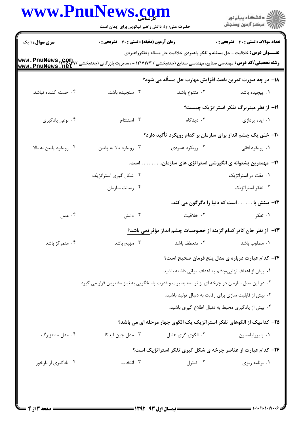|                         | حضرت علی(ع): دانش راهبر نیکویی برای ایمان است                                                                                                |                                                                                    | ر<br>دانشڪاه پيام نور)<br>ا∛ مرڪز آزمون وسنڊش           |
|-------------------------|----------------------------------------------------------------------------------------------------------------------------------------------|------------------------------------------------------------------------------------|---------------------------------------------------------|
| <b>سری سوال :</b> ۱ یک  | <b>زمان آزمون (دقیقه) : تستی : 60 ٪ تشریحی : 0</b>                                                                                           |                                                                                    | <b>تعداد سوالات : تستی : 30 ٪ تشریحی : 0</b>            |
|                         | <b>رشته تحصیلی/کد درس:</b> مهندسی صنایع، مهندسی صنایع (چندبخشی ) ۱۲۱۷۱۷۳ - ، مدیریت بازرگانی (چندبخشی ) www . PnuNews<br>www . PnuNews . net | <b>عنـــوان درس:</b> خلاقیت - حل مسئله و تفکر راهبردی،خلاقیت حل مساله وتفکرراهبردی |                                                         |
|                         |                                                                                                                                              | 18- در چه صورت تمرین باعث افزایش مهارت حل مسأله می شود؟                            |                                                         |
| ۰۴ خسته کننده نباشد.    | ۰۳ سنجیده باشد.                                                                                                                              | ۰۲ متنوع باشد.                                                                     | ۰۱ پیچیده باشد.                                         |
|                         |                                                                                                                                              |                                                                                    | ۱۹- از نظر مینربرگ تفکر استراتژیک چیست؟                 |
| ۰۴ نوعی یادگیری         | ۰۳ استنتاج                                                                                                                                   | ۰۲ دیدگاه                                                                          | ٠١ ايده پردازى                                          |
|                         |                                                                                                                                              | ۲۰- خلق یک چشم انداز برای سازمان بر کدام رویکرد تأکید دارد؟                        |                                                         |
| ۰۴ رویکرد پایین به بالا | ۰۳ رویکرد بالا به پایین                                                                                                                      | ۰۲ رویکرد عمودی                                                                    | ۰۱ رویکرد افقی                                          |
|                         | <b>۲۱</b> - مهمترین پشتوانه ی انگیزشی استراتژی های سازمان .<br>. است.                                                                        |                                                                                    |                                                         |
|                         | ۰۲ شکل گیری استراتژیک                                                                                                                        |                                                                                    | ٠١ دقت در استراتژيک                                     |
|                         | ۰۴ رسالت سازمان                                                                                                                              |                                                                                    | ۰۳ تفکر استراتژیک                                       |
|                         |                                                                                                                                              |                                                                                    | <b>۲۲</b> - بینش با است که دنیا را دگرگون می کند.       |
| ۰۴ عمل                  | ا دانش $\cdot$                                                                                                                               | ۰۲ خلاقیت                                                                          | ۰۱ تفکر                                                 |
|                         |                                                                                                                                              | ۲۳– از نظر جان کاتر کدام گزینه از خصوصیات چشم انداز مؤثر نمی باشد؟                 |                                                         |
| ۰۴ متمرکز باشد          | ۰۳ مهیج باشد                                                                                                                                 | ٠٢ منعطف باشد                                                                      | ٠١ مطلوب باشد                                           |
|                         |                                                                                                                                              |                                                                                    | <b>34</b> - كدام عبارت درباره ی مدل پنج فرمان صحیح است؟ |
|                         |                                                                                                                                              | ۰۱ بیش از اهداف نهایی،چشم به اهداف میانی داشته باشید.                              |                                                         |
|                         | ۰۲ در این مدل سازمان در چرخه ای از توسعه بصیرت و قدرت پاسخگویی به نیاز مشتریان قرار می گیرد.                                                 |                                                                                    |                                                         |
|                         |                                                                                                                                              | ۰۳ بیش از قابلیت سازی برای رقابت به دنبال تولید باشید.                             |                                                         |
|                         |                                                                                                                                              | ۰۴ بیش از یادگیری محیط به دنبال اطلاع گیری باشید.                                  |                                                         |
|                         |                                                                                                                                              | ۲۵– کدامیک از الگوهای تفکر استراتزیک یک الگوی چهار مرحله ای می باشد؟               |                                                         |
| ۰۴ مدل منتنزبرگ         | ۰۳ مدل جین لیدکا                                                                                                                             | ۰۲ الگوی گری هامل                                                                  | ٠١ پنيروليامسون                                         |
|                         |                                                                                                                                              | <b>۲۶- کدام عبارت از عناصر چرخه ی شکل گیری تفکر استراتژیک است؟</b>                 |                                                         |
| ۰۴ یادگیری از بازخور    | ۰۳ انتخاب                                                                                                                                    | ۰۲ کنترل                                                                           | ۰۱ برنامه ریزی                                          |

 $= 1.1.71.1.1V$